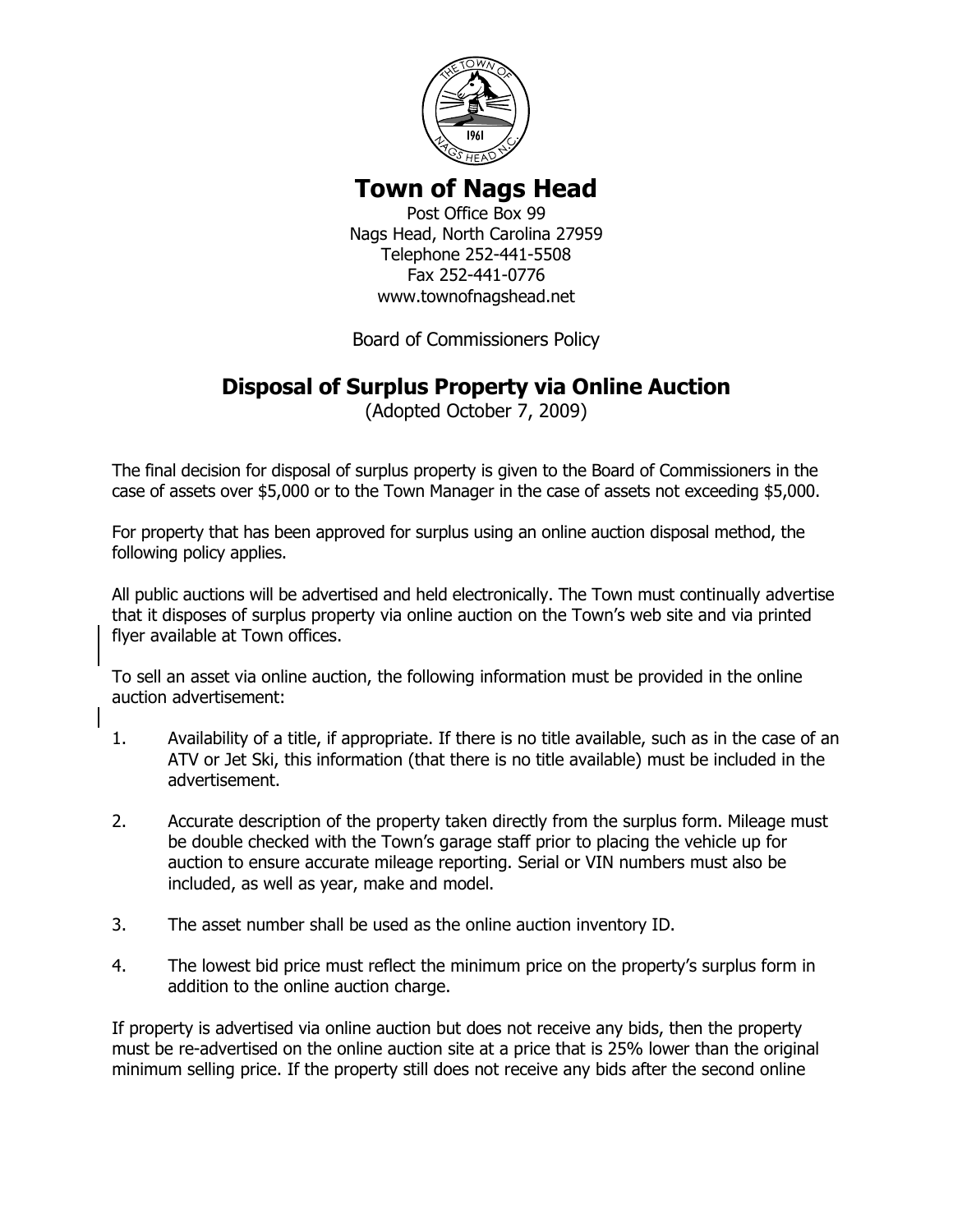

## **Town of Nags Head**

Post Office Box 99 Nags Head, North Carolina 27959 Telephone 252-441-5508 Fax 252-441-0776 www.townofnagshead.net

Board of Commissioners Policy

## **Disposal of Surplus Property via Online Auction**

(Adopted October 7, 2009)

The final decision for disposal of surplus property is given to the Board of Commissioners in the case of assets over \$5,000 or to the Town Manager in the case of assets not exceeding \$5,000.

For property that has been approved for surplus using an online auction disposal method, the following policy applies.

All public auctions will be advertised and held electronically. The Town must continually advertise that it disposes of surplus property via online auction on the Town's web site and via printed flyer available at Town offices.

To sell an asset via online auction, the following information must be provided in the online auction advertisement:

- 1. Availability of a title, if appropriate. If there is no title available, such as in the case of an ATV or Jet Ski, this information (that there is no title available) must be included in the advertisement.
- 2. Accurate description of the property taken directly from the surplus form. Mileage must be double checked with the Town's garage staff prior to placing the vehicle up for auction to ensure accurate mileage reporting. Serial or VIN numbers must also be included, as well as year, make and model.
- 3. The asset number shall be used as the online auction inventory ID.
- 4. The lowest bid price must reflect the minimum price on the property's surplus form in addition to the online auction charge.

If property is advertised via online auction but does not receive any bids, then the property must be re-advertised on the online auction site at a price that is 25% lower than the original minimum selling price. If the property still does not receive any bids after the second online